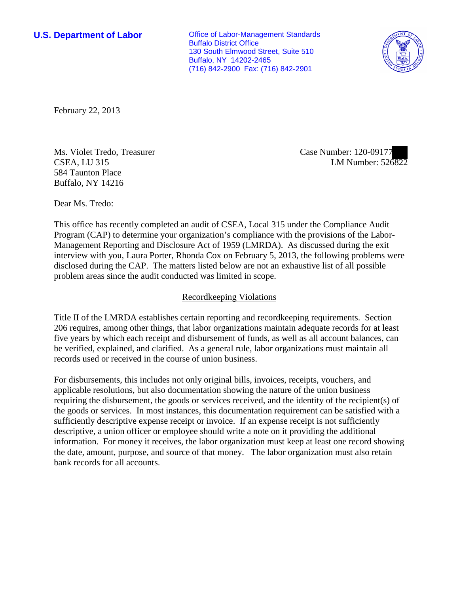**U.S. Department of Labor Conservative Conservative Conservative Conservative Conservative Conservative Conservative Conservative Conservative Conservative Conservative Conservative Conservative Conservative Conservative** Buffalo District Office 130 South Elmwood Street, Suite 510 Buffalo, NY 14202-2465 (716) 842-2900 Fax: (716) 842-2901



February 22, 2013

Ms. Violet Tredo, Treasurer CSEA, LU 315 584 Taunton Place Buffalo, NY 14216

Case Number: 120-09177 LM Number: 526822

Dear Ms. Tredo:

This office has recently completed an audit of CSEA, Local 315 under the Compliance Audit Program (CAP) to determine your organization's compliance with the provisions of the Labor-Management Reporting and Disclosure Act of 1959 (LMRDA). As discussed during the exit interview with you, Laura Porter, Rhonda Cox on February 5, 2013, the following problems were disclosed during the CAP. The matters listed below are not an exhaustive list of all possible problem areas since the audit conducted was limited in scope.

## Recordkeeping Violations

Title II of the LMRDA establishes certain reporting and recordkeeping requirements. Section 206 requires, among other things, that labor organizations maintain adequate records for at least five years by which each receipt and disbursement of funds, as well as all account balances, can be verified, explained, and clarified. As a general rule, labor organizations must maintain all records used or received in the course of union business.

For disbursements, this includes not only original bills, invoices, receipts, vouchers, and applicable resolutions, but also documentation showing the nature of the union business requiring the disbursement, the goods or services received, and the identity of the recipient(s) of the goods or services. In most instances, this documentation requirement can be satisfied with a sufficiently descriptive expense receipt or invoice. If an expense receipt is not sufficiently descriptive, a union officer or employee should write a note on it providing the additional information. For money it receives, the labor organization must keep at least one record showing the date, amount, purpose, and source of that money. The labor organization must also retain bank records for all accounts.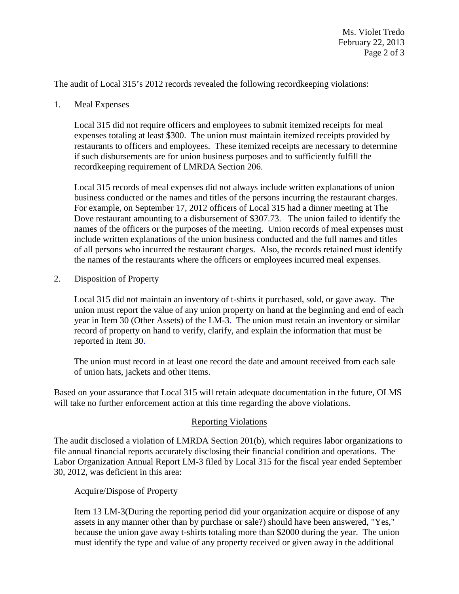The audit of Local 315's 2012 records revealed the following recordkeeping violations:

1. Meal Expenses

Local 315 did not require officers and employees to submit itemized receipts for meal expenses totaling at least \$300. The union must maintain itemized receipts provided by restaurants to officers and employees. These itemized receipts are necessary to determine if such disbursements are for union business purposes and to sufficiently fulfill the recordkeeping requirement of LMRDA Section 206.

Local 315 records of meal expenses did not always include written explanations of union business conducted or the names and titles of the persons incurring the restaurant charges. For example, on September 17, 2012 officers of Local 315 had a dinner meeting at The Dove restaurant amounting to a disbursement of \$307.73. The union failed to identify the names of the officers or the purposes of the meeting. Union records of meal expenses must include written explanations of the union business conducted and the full names and titles of all persons who incurred the restaurant charges. Also, the records retained must identify the names of the restaurants where the officers or employees incurred meal expenses.

2. Disposition of Property

Local 315 did not maintain an inventory of t-shirts it purchased, sold, or gave away. The union must report the value of any union property on hand at the beginning and end of each year in Item 30 (Other Assets) of the LM-3. The union must retain an inventory or similar record of property on hand to verify, clarify, and explain the information that must be reported in Item 30.

The union must record in at least one record the date and amount received from each sale of union hats, jackets and other items.

Based on your assurance that Local 315 will retain adequate documentation in the future, OLMS will take no further enforcement action at this time regarding the above violations.

## Reporting Violations

The audit disclosed a violation of LMRDA Section 201(b), which requires labor organizations to file annual financial reports accurately disclosing their financial condition and operations. The Labor Organization Annual Report LM-3 filed by Local 315 for the fiscal year ended September 30, 2012, was deficient in this area:

Acquire/Dispose of Property

Item 13 LM-3(During the reporting period did your organization acquire or dispose of any assets in any manner other than by purchase or sale?) should have been answered, "Yes," because the union gave away t-shirts totaling more than \$2000 during the year. The union must identify the type and value of any property received or given away in the additional